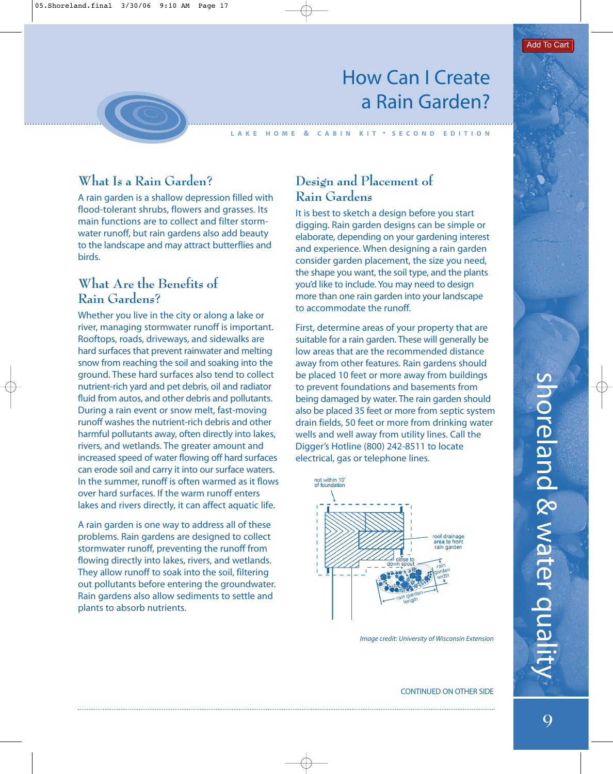# How Can I Create a Rain Garden?

**LAKE HOME & CABIN KIT • SECOND EDITION**

## **What Is a Rain Garden?**

A rain garden is a shallow depression filled with flood-tolerant shrubs, flowers and grasses. Its main functions are to collect and filter stormwater runoff, but rain gardens also add beauty to the landscape and may attract butterflies and birds.

#### **What Are the Benefits of Rain Gardens?**

Whether you live in the city or along a lake or river, managing stormwater runoff is important. Rooftops, roads, driveways, and sidewalks are hard surfaces that prevent rainwater and melting snow from reaching the soil and soaking into the ground. These hard surfaces also tend to collect nutrient-rich yard and pet debris, oil and radiator fluid from autos, and other debris and pollutants. During a rain event or snow melt, fast-moving runoff washes the nutrient-rich debris and other harmful pollutants away, often directly into lakes, rivers, and wetlands. The greater amount and increased speed of water flowing off hard surfaces can erode soil and carry it into our surface waters. In the summer, runoff is often warmed as it flows over hard surfaces. If the warm runoff enters lakes and rivers directly, it can affect aquatic life.

A rain garden is one way to address all of these problems. Rain gardens are designed to collect stormwater runoff, preventing the runoff from flowing directly into lakes, rivers, and wetlands. They allow runoff to soak into the soil, filtering out pollutants before entering the groundwater. Rain gardens also allow sediments to settle and plants to absorb nutrients.

#### **Design and Placement of Rain Gardens**

It is best to sketch a design before you start digging. Rain garden designs can be simple or elaborate, depending on your gardening interest and experience. When designing a rain garden consider garden placement, the size you need, the shape you want, the soil type, and the plants you'd like to include. You may need to design more than one rain garden into your landscape to accommodate the runoff.

First, determine areas of your property that are suitable for a rain garden. These will generally be low areas that are the recommended distance away from other features. Rain gardens should be placed 10 feet or more away from buildings to prevent foundations and basements from being damaged by water. The rain garden should also be placed 35 feet or more from septic system drain fields, 50 feet or more from drinking water wells and well away from utility lines. Call the Digger's Hotline (800) 242-8511 to locate electrical, gas or telephone lines.



Image credit: University of Wisconsin Extension

CONTINUED ON OTHER SIDE